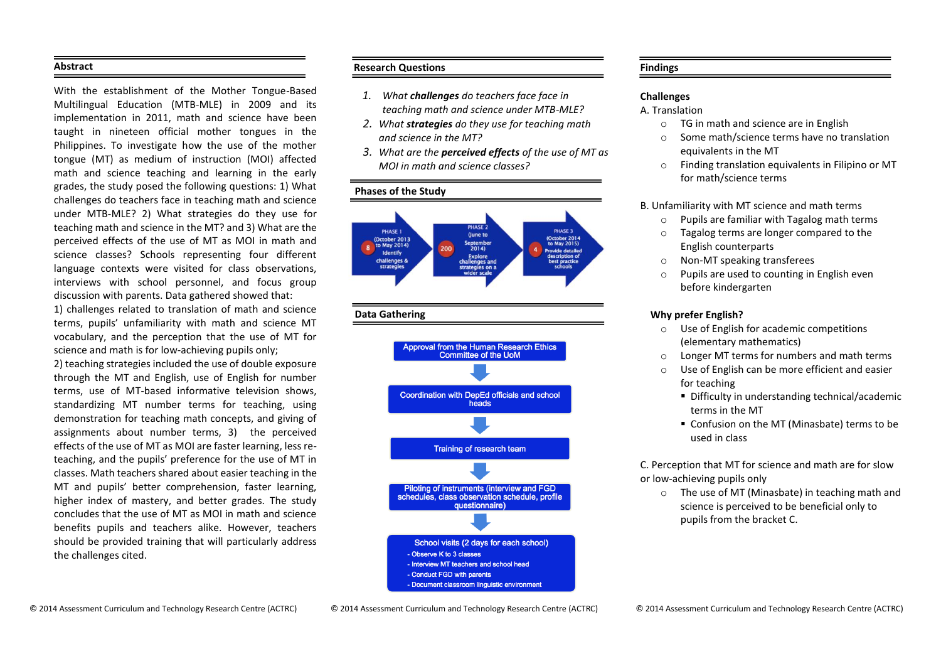### **Abstract**

With the establishment of the Mother Tongue-Based Multilingual Education (MTB-MLE) in 2009 and its implementation in 2011, math and science have been taught in nineteen official mother tongues in the Philippines. To investigate how the use of the mother tongue (MT) as medium of instruction (MOI) affected math and science teaching and learning in the early grades, the study posed the following questions: 1) What challenges do teachers face in teaching math and science under MTB-MLE? 2) What strategies do they use for teaching math and science in the MT? and 3) What are the perceived effects of the use of MT as MOI in math and science classes? Schools representing four different language contexts were visited for class observations, interviews with school personnel, and focus group discussion with parents. Data gathered showed that:

1) challenges related to translation of math and science terms, pupils' unfamiliarity with math and science MT vocabulary, and the perception that the use of MT for science and math is for low-achieving pupils only;

2) teaching strategies included the use of double exposure through the MT and English, use of English for number terms, use of MT-based informative television shows, standardizing MT number terms for teaching, using demonstration for teaching math concepts, and giving of assignments about number terms, 3) the perceived effects of the use of MT as MOI are faster learning, less reteaching, and the pupils' preference for the use of MT in classes. Math teachers shared about easier teaching in the MT and pupils' better comprehension, faster learning, higher index of mastery, and better grades. The study concludes that the use of MT as MOI in math and science benefits pupils and teachers alike. However, teachers should be provided training that will particularly address the challenges cited.

# **Research Questions**

- *1. What challenges do teachers face face in teaching math and science under MTB-MLE?*
- *2. What strategies do they use for teaching math and science in the MT?*
- *3. What are the perceived effects of the use of MT as MOI in math and science classes?*

# **Phases of the Study**



### **Data Gathering**



# **Findings**

# **Challenges**

# A. Translation

- o TG in math and science are in English
- o Some math/science terms have no translation equivalents in the MT
- o Finding translation equivalents in Filipino or MT for math/science terms

# B. Unfamiliarity with MT science and math terms

- o Pupils are familiar with Tagalog math terms
- o Tagalog terms are longer compared to the English counterparts
- o Non-MT speaking transferees
- o Pupils are used to counting in English even before kindergarten

# **Why prefer English?**

- o Use of English for academic competitions (elementary mathematics)
- o Longer MT terms for numbers and math terms
- o Use of English can be more efficient and easier for teaching
	- Difficulty in understanding technical/academic terms in the MT
	- Confusion on the MT (Minasbate) terms to be used in class

C. Perception that MT for science and math are for slow or low-achieving pupils only

o The use of MT (Minasbate) in teaching math and science is perceived to be beneficial only to pupils from the bracket C.